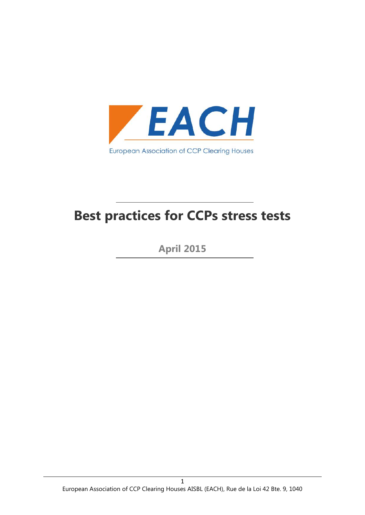

# **Best practices for CCPs stress tests**

**April 2015**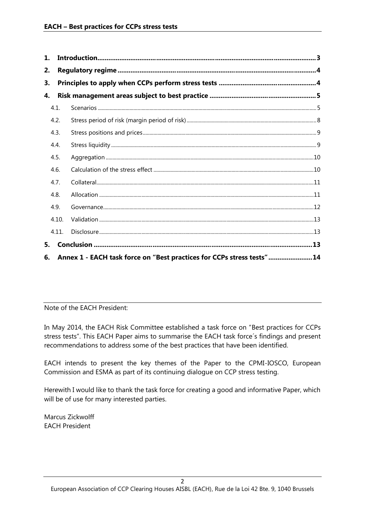| 1. |       |  |
|----|-------|--|
| 2. |       |  |
| 3. |       |  |
| 4. |       |  |
|    | 4.1.  |  |
|    | 4.2.  |  |
|    | 4.3.  |  |
|    | 4.4.  |  |
|    | 4.5.  |  |
|    | 4.6.  |  |
|    | 4.7.  |  |
|    | 4.8.  |  |
|    | 4.9.  |  |
|    | 4.10. |  |
|    | 4.11. |  |
| 5. |       |  |

Note of the EACH President:

In May 2014, the EACH Risk Committee established a task force on "Best practices for CCPs stress tests". This EACH Paper aims to summarise the EACH task force´s findings and present recommendations to address some of the best practices that have been identified.

EACH intends to present the key themes of the Paper to the CPMI-IOSCO, European Commission and ESMA as part of its continuing dialogue on CCP stress testing.

Herewith I would like to thank the task force for creating a good and informative Paper, which will be of use for many interested parties.

Marcus Zickwolff EACH President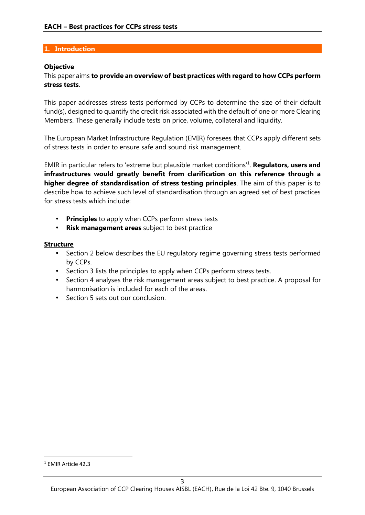## **1. Introduction**

### **Objective**

## This paper aims **to provide an overview of best practices with regard to how CCPs perform stress tests**.

This paper addresses stress tests performed by CCPs to determine the size of their default fund(s), designed to quantify the credit risk associated with the default of one or more Clearing Members. These generally include tests on price, volume, collateral and liquidity.

The European Market Infrastructure Regulation (EMIR) foresees that CCPs apply different sets of stress tests in order to ensure safe and sound risk management.

EMIR in particular refers to 'extreme but plausible market conditions'<sup>1</sup> . **Regulators, users and infrastructures would greatly benefit from clarification on this reference through a higher degree of standardisation of stress testing principles**. The aim of this paper is to describe how to achieve such level of standardisation through an agreed set of best practices for stress tests which include:

- **Principles** to apply when CCPs perform stress tests
- **Risk management areas** subject to best practice

### **Structure**

- Section 2 below describes the EU regulatory regime governing stress tests performed by CCPs.
- Section 3 lists the principles to apply when CCPs perform stress tests.
- Section 4 analyses the risk management areas subject to best practice. A proposal for harmonisation is included for each of the areas.
- Section 5 sets out our conclusion.

<sup>1</sup> EMIR Article 42.3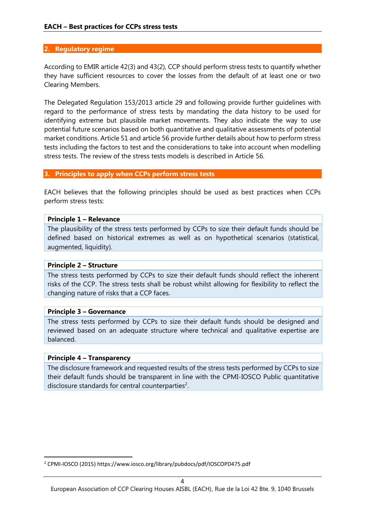#### **2. Regulatory regime**

According to EMIR article 42(3) and 43(2), CCP should perform stress tests to quantify whether they have sufficient resources to cover the losses from the default of at least one or two Clearing Members.

The Delegated Regulation 153/2013 article 29 and following provide further guidelines with regard to the performance of stress tests by mandating the data history to be used for identifying extreme but plausible market movements. They also indicate the way to use potential future scenarios based on both quantitative and qualitative assessments of potential market conditions. Article 51 and article 56 provide further details about how to perform stress tests including the factors to test and the considerations to take into account when modelling stress tests. The review of the stress tests models is described in Article 56.

#### **3. Principles to apply when CCPs perform stress tests**

EACH believes that the following principles should be used as best practices when CCPs perform stress tests:

#### **Principle 1 – Relevance**

The plausibility of the stress tests performed by CCPs to size their default funds should be defined based on historical extremes as well as on hypothetical scenarios (statistical, augmented, liquidity).

#### **Principle 2 – Structure**

The stress tests performed by CCPs to size their default funds should reflect the inherent risks of the CCP. The stress tests shall be robust whilst allowing for flexibility to reflect the changing nature of risks that a CCP faces.

#### **Principle 3 – Governance**

The stress tests performed by CCPs to size their default funds should be designed and reviewed based on an adequate structure where technical and qualitative expertise are balanced.

#### **Principle 4 – Transparency**

The disclosure framework and requested results of the stress tests performed by CCPs to size their default funds should be transparent in line with the CPMI-IOSCO Public quantitative disclosure standards for central counterparties<sup>2</sup>.

<sup>2</sup> CPMI-IOSCO (2015) https://www.iosco.org/library/pubdocs/pdf/IOSCOPD475.pdf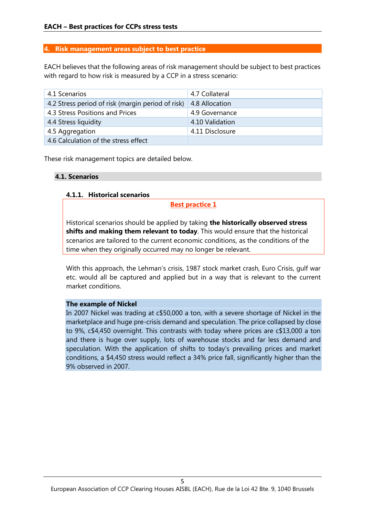## **4. Risk management areas subject to best practice**

EACH believes that the following areas of risk management should be subject to best practices with regard to how risk is measured by a CCP in a stress scenario:

| 4.1 Scenarios                                     | 4.7 Collateral  |
|---------------------------------------------------|-----------------|
| 4.2 Stress period of risk (margin period of risk) | 4.8 Allocation  |
| 4.3 Stress Positions and Prices                   | 4.9 Governance  |
| 4.4 Stress liquidity                              | 4.10 Validation |
| 4.5 Aggregation                                   | 4.11 Disclosure |
| 4.6 Calculation of the stress effect              |                 |

These risk management topics are detailed below.

## **4.1. Scenarios**

### **4.1.1. Historical scenarios**

#### **Best practice 1**

Historical scenarios should be applied by taking **the historically observed stress shifts and making them relevant to today**. This would ensure that the historical scenarios are tailored to the current economic conditions, as the conditions of the time when they originally occurred may no longer be relevant.

With this approach, the Lehman's crisis, 1987 stock market crash, Euro Crisis, gulf war etc. would all be captured and applied but in a way that is relevant to the current market conditions.

#### **The example of Nickel**

In 2007 Nickel was trading at c\$50,000 a ton, with a severe shortage of Nickel in the marketplace and huge pre-crisis demand and speculation. The price collapsed by close to 9%, c\$4,450 overnight. This contrasts with today where prices are c\$13,000 a ton and there is huge over supply, lots of warehouse stocks and far less demand and speculation. With the application of shifts to today's prevailing prices and market conditions, a \$4,450 stress would reflect a 34% price fall, significantly higher than the 9% observed in 2007.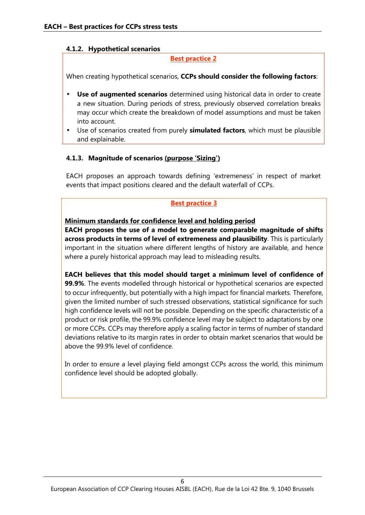## **4.1.2. Hypothetical scenarios**

## **Best practice 2**

When creating hypothetical scenarios, **CCPs should consider the following factors**:

- **Use of augmented scenarios** determined using historical data in order to create a new situation. During periods of stress, previously observed correlation breaks may occur which create the breakdown of model assumptions and must be taken into account.
- Use of scenarios created from purely **simulated factors**, which must be plausible and explainable.

### **4.1.3. Magnitude of scenarios (purpose 'Sizing')**

EACH proposes an approach towards defining 'extremeness' in respect of market events that impact positions cleared and the default waterfall of CCPs.

# **Best practice 3**

**Minimum standards for confidence level and holding period**

**EACH proposes the use of a model to generate comparable magnitude of shifts across products in terms of level of extremeness and plausibility**. This is particularly important in the situation where different lengths of history are available, and hence where a purely historical approach may lead to misleading results.

**EACH believes that this model should target a minimum level of confidence of 99.9%**. The events modelled through historical or hypothetical scenarios are expected to occur infrequently, but potentially with a high impact for financial markets. Therefore, given the limited number of such stressed observations, statistical significance for such high confidence levels will not be possible. Depending on the specific characteristic of a product or risk profile, the 99.9% confidence level may be subject to adaptations by one or more CCPs. CCPs may therefore apply a scaling factor in terms of number of standard deviations relative to its margin rates in order to obtain market scenarios that would be above the 99.9% level of confidence.

In order to ensure a level playing field amongst CCPs across the world, this minimum confidence level should be adopted globally.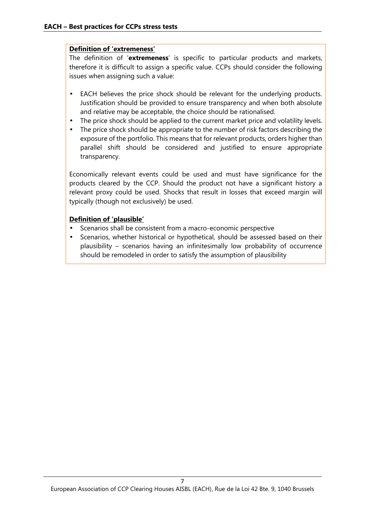## **Definition of 'extremeness'**

The definition of '**extremeness**' is specific to particular products and markets, therefore it is difficult to assign a specific value. CCPs should consider the following issues when assigning such a value:

- EACH believes the price shock should be relevant for the underlying products. Justification should be provided to ensure transparency and when both absolute and relative may be acceptable, the choice should be rationalised.
- The price shock should be applied to the current market price and volatility levels.
- The price shock should be appropriate to the number of risk factors describing the exposure of the portfolio. This means that for relevant products, orders higher than parallel shift should be considered and justified to ensure appropriate transparency.

Economically relevant events could be used and must have significance for the products cleared by the CCP. Should the product not have a significant history a relevant proxy could be used. Shocks that result in losses that exceed margin will typically (though not exclusively) be used.

## **Definition of 'plausible'**

- Scenarios shall be consistent from a macro-economic perspective
- Scenarios, whether historical or hypothetical, should be assessed based on their plausibility – scenarios having an infinitesimally low probability of occurrence should be remodeled in order to satisfy the assumption of plausibility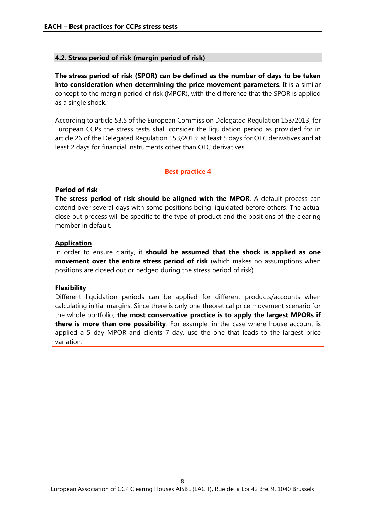## **4.2. Stress period of risk (margin period of risk)**

**The stress period of risk (SPOR) can be defined as the number of days to be taken into consideration when determining the price movement parameters**. It is a similar concept to the margin period of risk (MPOR), with the difference that the SPOR is applied as a single shock.

According to article 53.5 of the European Commission Delegated Regulation 153/2013, for European CCPs the stress tests shall consider the liquidation period as provided for in article 26 of the Delegated Regulation 153/2013: at least 5 days for OTC derivatives and at least 2 days for financial instruments other than OTC derivatives.

#### **Best practice 4**

### **Period of risk**

**The stress period of risk should be aligned with the MPOR**. A default process can extend over several days with some positions being liquidated before others. The actual close out process will be specific to the type of product and the positions of the clearing member in default.

## **Application**

In order to ensure clarity, it **should be assumed that the shock is applied as one movement over the entire stress period of risk** (which makes no assumptions when positions are closed out or hedged during the stress period of risk).

#### **Flexibility**

Different liquidation periods can be applied for different products/accounts when calculating initial margins. Since there is only one theoretical price movement scenario for the whole portfolio, **the most conservative practice is to apply the largest MPORs if there is more than one possibility**. For example, in the case where house account is applied a 5 day MPOR and clients 7 day, use the one that leads to the largest price variation.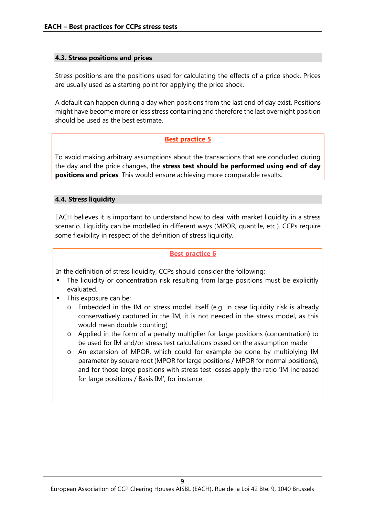## **4.3. Stress positions and prices**

Stress positions are the positions used for calculating the effects of a price shock. Prices are usually used as a starting point for applying the price shock.

A default can happen during a day when positions from the last end of day exist. Positions might have become more or less stress containing and therefore the last overnight position should be used as the best estimate.

### **Best practice 5**

To avoid making arbitrary assumptions about the transactions that are concluded during the day and the price changes, the **stress test should be performed using end of day positions and prices**. This would ensure achieving more comparable results.

### **4.4. Stress liquidity**

EACH believes it is important to understand how to deal with market liquidity in a stress scenario. Liquidity can be modelled in different ways (MPOR, quantile, etc.). CCPs require some flexibility in respect of the definition of stress liquidity.

#### **Best practice 6**

In the definition of stress liquidity, CCPs should consider the following:

- The liquidity or concentration risk resulting from large positions must be explicitly evaluated.
- This exposure can be:
	- o Embedded in the IM or stress model itself (e.g. in case liquidity risk is already conservatively captured in the IM, it is not needed in the stress model, as this would mean double counting)
	- o Applied in the form of a penalty multiplier for large positions (concentration) to be used for IM and/or stress test calculations based on the assumption made
	- o An extension of MPOR, which could for example be done by multiplying IM parameter by square root (MPOR for large positions / MPOR for normal positions), and for those large positions with stress test losses apply the ratio 'IM increased for large positions / Basis IM', for instance.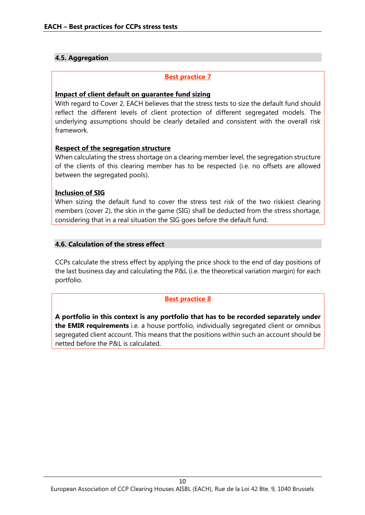# **4.5. Aggregation**

## **Best practice 7**

#### **Impact of client default on guarantee fund sizing**

With regard to Cover 2, EACH believes that the stress tests to size the default fund should reflect the different levels of client protection of different segregated models. The underlying assumptions should be clearly detailed and consistent with the overall risk framework.

### **Respect of the segregation structure**

When calculating the stress shortage on a clearing member level, the segregation structure of the clients of this clearing member has to be respected (i.e. no offsets are allowed between the segregated pools).

### **Inclusion of SIG**

When sizing the default fund to cover the stress test risk of the two riskiest clearing members (cover 2), the skin in the game (SIG) shall be deducted from the stress shortage, considering that in a real situation the SIG goes before the default fund.

### **4.6. Calculation of the stress effect**

CCPs calculate the stress effect by applying the price shock to the end of day positions of the last business day and calculating the P&L (i.e. the theoretical variation margin) for each portfolio.

## **Best practice 8**

**A portfolio in this context is any portfolio that has to be recorded separately under the EMIR requirements** i.e. a house portfolio, individually segregated client or omnibus segregated client account. This means that the positions within such an account should be netted before the P&L is calculated.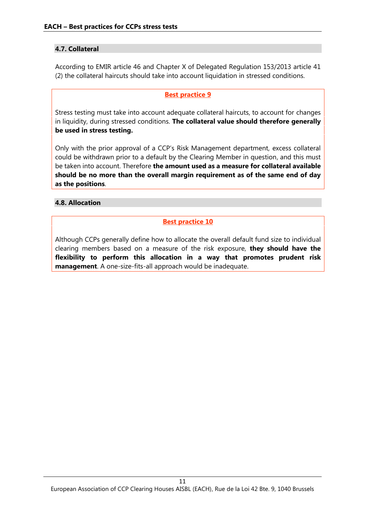# **4.7. Collateral**

According to EMIR article 46 and Chapter X of Delegated Regulation 153/2013 article 41 (2) the collateral haircuts should take into account liquidation in stressed conditions.

# **Best practice 9**

Stress testing must take into account adequate collateral haircuts, to account for changes in liquidity, during stressed conditions. **The collateral value should therefore generally be used in stress testing.**

Only with the prior approval of a CCP's Risk Management department, excess collateral could be withdrawn prior to a default by the Clearing Member in question, and this must be taken into account. Therefore **the amount used as a measure for collateral available should be no more than the overall margin requirement as of the same end of day as the positions**.

# **4.8. Allocation**

# **Best practice 10**

Although CCPs generally define how to allocate the overall default fund size to individual clearing members based on a measure of the risk exposure, **they should have the flexibility to perform this allocation in a way that promotes prudent risk management**. A one-size-fits-all approach would be inadequate.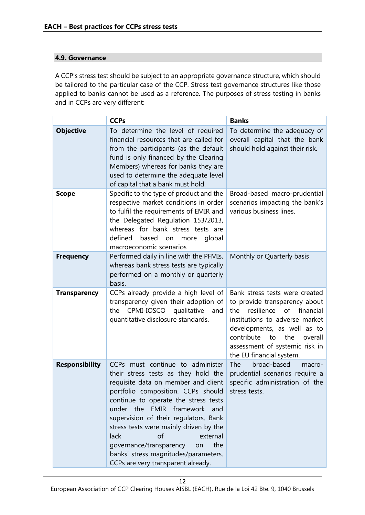# **4.9. Governance**

A CCP's stress test should be subject to an appropriate governance structure, which should be tailored to the particular case of the CCP. Stress test governance structures like those applied to banks cannot be used as a reference. The purposes of stress testing in banks and in CCPs are very different:

|                       | <b>CCPs</b>                                                                                                                                                                                                                                                                                                                                                                                                                                                     | <b>Banks</b>                                                                                                                                                                                                                                                              |
|-----------------------|-----------------------------------------------------------------------------------------------------------------------------------------------------------------------------------------------------------------------------------------------------------------------------------------------------------------------------------------------------------------------------------------------------------------------------------------------------------------|---------------------------------------------------------------------------------------------------------------------------------------------------------------------------------------------------------------------------------------------------------------------------|
| <b>Objective</b>      | To determine the level of required<br>financial resources that are called for<br>from the participants (as the default<br>fund is only financed by the Clearing<br>Members) whereas for banks they are<br>used to determine the adequate level<br>of capital that a bank must hold.                                                                                                                                                                             | To determine the adequacy of<br>overall capital that the bank<br>should hold against their risk.                                                                                                                                                                          |
| <b>Scope</b>          | Specific to the type of product and the<br>respective market conditions in order<br>to fulfil the requirements of EMIR and<br>the Delegated Regulation 153/2013,<br>whereas for bank stress tests are<br>defined<br>based<br>global<br>on<br>more<br>macroeconomic scenarios                                                                                                                                                                                    | Broad-based macro-prudential<br>scenarios impacting the bank's<br>various business lines.                                                                                                                                                                                 |
| <b>Frequency</b>      | Performed daily in line with the PFMIs,<br>whereas bank stress tests are typically<br>performed on a monthly or quarterly<br>basis.                                                                                                                                                                                                                                                                                                                             | Monthly or Quarterly basis                                                                                                                                                                                                                                                |
| <b>Transparency</b>   | CCPs already provide a high level of<br>transparency given their adoption of<br>CPMI-IOSCO<br>qualitative<br>the<br>and<br>quantitative disclosure standards.                                                                                                                                                                                                                                                                                                   | Bank stress tests were created<br>to provide transparency about<br>resilience of<br>financial<br>the<br>institutions to adverse market<br>developments, as well as to<br>contribute<br>the<br>to<br>overall<br>assessment of systemic risk in<br>the EU financial system. |
| <b>Responsibility</b> | CCPs must continue to administer<br>their stress tests as they hold the<br>requisite data on member and client<br>portfolio composition. CCPs should<br>continue to operate the stress tests<br>under the EMIR framework and<br>supervision of their regulators. Bank<br>stress tests were mainly driven by the<br>external<br>lack<br>of<br>governance/transparency<br>the<br>on<br>banks' stress magnitudes/parameters.<br>CCPs are very transparent already. | broad-based<br><b>The</b><br>macro-<br>prudential scenarios require a<br>specific administration of the<br>stress tests.                                                                                                                                                  |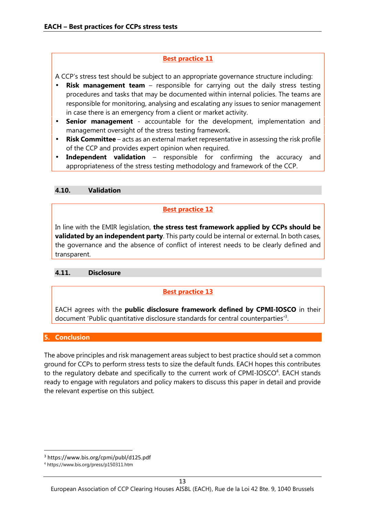# **Best practice 11**

A CCP's stress test should be subject to an appropriate governance structure including:

- **Risk management team** responsible for carrying out the daily stress testing procedures and tasks that may be documented within internal policies. The teams are responsible for monitoring, analysing and escalating any issues to senior management in case there is an emergency from a client or market activity.
- **Senior management** accountable for the development, implementation and management oversight of the stress testing framework.
- **Risk Committee** acts as an external market representative in assessing the risk profile of the CCP and provides expert opinion when required.
- **Independent validation** responsible for confirming the accuracy and appropriateness of the stress testing methodology and framework of the CCP.

# **4.10. Validation**

# **Best practice 12**

In line with the EMIR legislation, **the stress test framework applied by CCPs should be validated by an independent party**. This party could be internal or external. In both cases, the governance and the absence of conflict of interest needs to be clearly defined and transparent.

## **4.11. Disclosure**

# **Best practice 13**

EACH agrees with the **public disclosure framework defined by CPMI-IOSCO** in their document 'Public quantitative disclosure standards for central counterparties<sup>3</sup>.

# **5. Conclusion**

The above principles and risk management areas subject to best practice should set a common ground for CCPs to perform stress tests to size the default funds. EACH hopes this contributes to the regulatory debate and specifically to the current work of CPMI-IOSCO<sup>4</sup>. EACH stands ready to engage with regulators and policy makers to discuss this paper in detail and provide the relevant expertise on this subject.

<sup>3</sup> https://www.bis.org/cpmi/publ/d125.pdf

<sup>4</sup> https://www.bis.org/press/p150311.htm